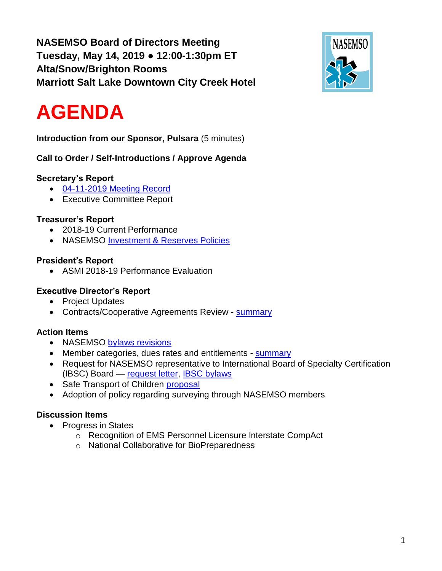**NASEMSO Board of Directors Meeting Tuesday, May 14, 2019 ● 12:00-1:30pm ET Alta/Snow/Brighton Rooms Marriott Salt Lake Downtown City Creek Hotel**



# **AGENDA**

**Introduction from our Sponsor, Pulsara** (5 minutes)

**Call to Order / Self-Introductions / Approve Agenda**

# **Secretary's Report**

- 04-11-2019 [Meeting Record](https://drive.google.com/open?id=1xqOUyq42MLNNEeZnnToxF9lOySFgL1A8)
- Executive Committee Report

# **Treasurer's Report**

- 2018-19 Current Performance
- NASEMSO [Investment & Reserves Policies](https://drive.google.com/open?id=1_rV4nQuU_AKqMscJdZ75UzKfTsLZF9o8)

# **President's Report**

• ASMI 2018-19 Performance Evaluation

# **Executive Director's Report**

- Project Updates
- Contracts/Cooperative Agreements Review [summary](https://drive.google.com/open?id=1RSAX8tN89iqkfjFmaFfRKdqAZ5quEN7L)

# **Action Items**

- NASEMSO [bylaws revisions](https://drive.google.com/open?id=104jLZpM98LhAn-nRFmJe4kyHG038FIoR)
- Member categories, dues rates and entitlements [summary](https://drive.google.com/open?id=1sk9RMExJSl_SEw01qX18Rj2sdMMC2vw7)
- Request for NASEMSO representative to International Board of Specialty Certification (IBSC) Board — [request letter,](https://drive.google.com/open?id=1yJJaYBMk9ff-yqO726V0P-3C44WbMxBZ) [IBSC bylaws](https://drive.google.com/open?id=1L5xqlAu1lm1nziXP8kxsM976o7Kb_KOJ)
- Safe Transport of Children [proposal](https://drive.google.com/open?id=1dtGo8XNt2tmieNe9DjZtPD1760iLe1GO)
- Adoption of policy regarding surveying through NASEMSO members

# **Discussion Items**

- Progress in States
	- o Recognition of EMS Personnel Licensure Interstate CompAct
	- o National Collaborative for BioPreparedness